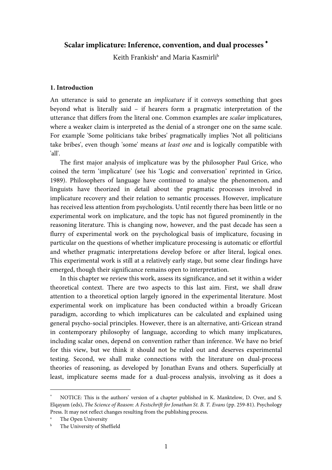**Scalar implicature: Inference, convention, and dual processes** <sup>∗</sup>

Keith Frankishª and Maria Kasmirli<sup>b</sup>

#### **1. Introduction**

An utterance is said to generate an *implicature* if it conveys something that goes beyond what is literally said – if hearers form a pragmatic interpretation of the utterance that differs from the literal one. Common examples are *scalar* implicatures, where a weaker claim is interpreted as the denial of a stronger one on the same scale. For example 'Some politicians take bribes' pragmatically implies 'Not all politicians take bribes', even though 'some' means *at least one* and is logically compatible with 'all'.

 The first major analysis of implicature was by the philosopher Paul Grice, who coined the term 'implicature' (see his 'Logic and conversation' reprinted in Grice, 1989). Philosophers of language have continued to analyse the phenomenon, and linguists have theorized in detail about the pragmatic processes involved in implicature recovery and their relation to semantic processes. However, implicature has received less attention from psychologists. Until recently there has been little or no experimental work on implicature, and the topic has not figured prominently in the reasoning literature. This is changing now, however, and the past decade has seen a flurry of experimental work on the psychological basis of implicature, focusing in particular on the questions of whether implicature processing is automatic or effortful and whether pragmatic interpretations develop before or after literal, logical ones. This experimental work is still at a relatively early stage, but some clear findings have emerged, though their significance remains open to interpretation.

 In this chapter we review this work, assess its significance, and set it within a wider theoretical context. There are two aspects to this last aim. First, we shall draw attention to a theoretical option largely ignored in the experimental literature. Most experimental work on implicature has been conducted within a broadly Gricean paradigm, according to which implicatures can be calculated and explained using general psycho-social principles. However, there is an alternative, anti-Gricean strand in contemporary philosophy of language, according to which many implicatures, including scalar ones, depend on convention rather than inference. We have no brief for this view, but we think it should not be ruled out and deserves experimental testing. Second, we shall make connections with the literature on dual-process theories of reasoning, as developed by Jonathan Evans and others. Superficially at least, implicature seems made for a dual-process analysis, involving as it does a

<sup>∗</sup> NOTICE: This is the authors' version of a chapter published in K. Manktelow, D. Over, and S. Elqayam (eds), *The Science of Reason: A Festschrift for Jonathan St. B. T. Evans* (pp. 259-81). Psychology Press. It may not reflect changes resulting from the publishing process.

<sup>&</sup>lt;sup>a</sup> The Open University

b The University of Sheffield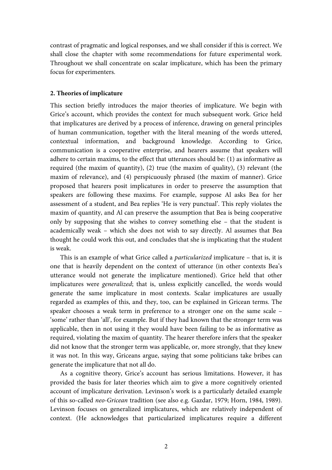contrast of pragmatic and logical responses, and we shall consider if this is correct. We shall close the chapter with some recommendations for future experimental work. Throughout we shall concentrate on scalar implicature, which has been the primary focus for experimenters.

# **2. Theories of implicature**

This section briefly introduces the major theories of implicature. We begin with Grice's account, which provides the context for much subsequent work. Grice held that implicatures are derived by a process of inference, drawing on general principles of human communication, together with the literal meaning of the words uttered, contextual information, and background knowledge. According to Grice, communication is a cooperative enterprise, and hearers assume that speakers will adhere to certain maxims, to the effect that utterances should be: (1) as informative as required (the maxim of quantity), (2) true (the maxim of quality), (3) relevant (the maxim of relevance), and (4) perspicuously phrased (the maxim of manner). Grice proposed that hearers posit implicatures in order to preserve the assumption that speakers are following these maxims. For example, suppose Al asks Bea for her assessment of a student, and Bea replies 'He is very punctual'. This reply violates the maxim of quantity, and Al can preserve the assumption that Bea is being cooperative only by supposing that she wishes to convey something else – that the student is academically weak – which she does not wish to say directly. Al assumes that Bea thought he could work this out, and concludes that she is implicating that the student is weak.

 This is an example of what Grice called a *particularized* implicature – that is, it is one that is heavily dependent on the context of utterance (in other contexts Bea's utterance would not generate the implicature mentioned). Grice held that other implicatures were *generalized*; that is, unless explicitly cancelled, the words would generate the same implicature in most contexts. Scalar implicatures are usually regarded as examples of this, and they, too, can be explained in Gricean terms. The speaker chooses a weak term in preference to a stronger one on the same scale – 'some' rather than 'all', for example. But if they had known that the stronger term was applicable, then in not using it they would have been failing to be as informative as required, violating the maxim of quantity. The hearer therefore infers that the speaker did not know that the stronger term was applicable, or, more strongly, that they knew it was not. In this way, Griceans argue, saying that some politicians take bribes can generate the implicature that not all do.

 As a cognitive theory, Grice's account has serious limitations. However, it has provided the basis for later theories which aim to give a more cognitively oriented account of implicature derivation. Levinson's work is a particularly detailed example of this so-called *neo-Gricean* tradition (see also e.g. Gazdar, 1979; Horn, 1984, 1989). Levinson focuses on generalized implicatures, which are relatively independent of context. (He acknowledges that particularized implicatures require a different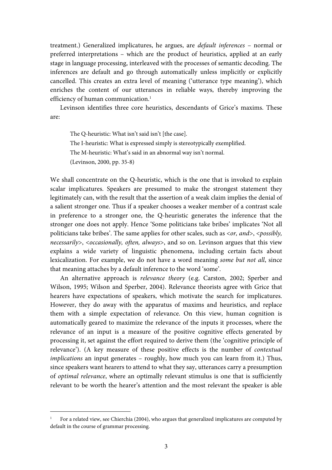treatment.) Generalized implicatures, he argues, are *default inferences* – normal or preferred interpretations – which are the product of heuristics, applied at an early stage in language processing, interleaved with the processes of semantic decoding. The inferences are default and go through automatically unless implicitly or explicitly cancelled. This creates an extra level of meaning ('utterance type meaning'), which enriches the content of our utterances in reliable ways, thereby improving the efficiency of human communication.<sup>1</sup>

 Levinson identifies three core heuristics, descendants of Grice's maxims. These are:

The Q-heuristic: What isn't said isn't [the case]. The I-heuristic: What is expressed simply is stereotypically exemplified. The M-heuristic: What's said in an abnormal way isn't normal. (Levinson, 2000, pp. 35-8)

We shall concentrate on the Q-heuristic, which is the one that is invoked to explain scalar implicatures. Speakers are presumed to make the strongest statement they legitimately can, with the result that the assertion of a weak claim implies the denial of a salient stronger one. Thus if a speaker chooses a weaker member of a contrast scale in preference to a stronger one, the Q-heuristic generates the inference that the stronger one does not apply. Hence 'Some politicians take bribes' implicates 'Not all politicians take bribes'. The same applies for other scales, such as <*or, and*>, <*possibly, necessarily*>, <*occasionally, often, always*>, and so on. Levinson argues that this view explains a wide variety of linguistic phenomena, including certain facts about lexicalization. For example, we do not have a word meaning *some but not all*, since that meaning attaches by a default inference to the word 'some'.

 An alternative approach is *relevance theory* (e.g. Carston, 2002; Sperber and Wilson, 1995; Wilson and Sperber, 2004). Relevance theorists agree with Grice that hearers have expectations of speakers, which motivate the search for implicatures. However, they do away with the apparatus of maxims and heuristics, and replace them with a simple expectation of relevance. On this view, human cognition is automatically geared to maximize the relevance of the inputs it processes, where the relevance of an input is a measure of the positive cognitive effects generated by processing it, set against the effort required to derive them (the 'cognitive principle of relevance'). (A key measure of these positive effects is the number of *contextual implications* an input generates – roughly, how much you can learn from it.) Thus, since speakers want hearers to attend to what they say, utterances carry a presumption of *optimal relevance*, where an optimally relevant stimulus is one that is sufficiently relevant to be worth the hearer's attention and the most relevant the speaker is able

<sup>1</sup> For a related view, see Chierchia (2004), who argues that generalized implicatures are computed by default in the course of grammar processing.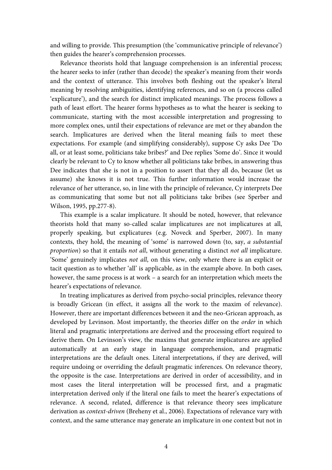and willing to provide. This presumption (the 'communicative principle of relevance') then guides the hearer's comprehension processes.

 Relevance theorists hold that language comprehension is an inferential process; the hearer seeks to infer (rather than decode) the speaker's meaning from their words and the context of utterance. This involves both fleshing out the speaker's literal meaning by resolving ambiguities, identifying references, and so on (a process called 'explicature'), and the search for distinct implicated meanings. The process follows a path of least effort. The hearer forms hypotheses as to what the hearer is seeking to communicate, starting with the most accessible interpretation and progressing to more complex ones, until their expectations of relevance are met or they abandon the search. Implicatures are derived when the literal meaning fails to meet these expectations. For example (and simplifying considerably), suppose Cy asks Dee 'Do all, or at least some, politicians take bribes?' and Dee replies 'Some do'. Since it would clearly be relevant to Cy to know whether all politicians take bribes, in answering thus Dee indicates that she is not in a position to assert that they all do, because (let us assume) she knows it is not true. This further information would increase the relevance of her utterance, so, in line with the principle of relevance, Cy interprets Dee as communicating that some but not all politicians take bribes (see Sperber and Wilson, 1995, pp.277-8).

 This example is a scalar implicature. It should be noted, however, that relevance theorists hold that many so-called scalar implicatures are not implicatures at all, properly speaking, but explicatures (e.g. Noveck and Sperber, 2007). In many contexts, they hold, the meaning of 'some' is narrowed down (to, say, *a substantial proportion*) so that it entails *not all*, without generating a distinct *not all* implicature. 'Some' genuinely implicates *not all*, on this view, only where there is an explicit or tacit question as to whether 'all' is applicable, as in the example above. In both cases, however, the same process is at work – a search for an interpretation which meets the hearer's expectations of relevance.

 In treating implicatures as derived from psycho-social principles, relevance theory is broadly Gricean (in effect, it assigns all the work to the maxim of relevance). However, there are important differences between it and the neo-Gricean approach, as developed by Levinson. Most importantly, the theories differ on the *order* in which literal and pragmatic interpretations are derived and the processing effort required to derive them. On Levinson's view, the maxims that generate implicatures are applied automatically at an early stage in language comprehension, and pragmatic interpretations are the default ones. Literal interpretations, if they are derived, will require undoing or overriding the default pragmatic inferences. On relevance theory, the opposite is the case. Interpretations are derived in order of accessibility, and in most cases the literal interpretation will be processed first, and a pragmatic interpretation derived only if the literal one fails to meet the hearer's expectations of relevance. A second, related, difference is that relevance theory sees implicature derivation as *context-driven* (Breheny et al., 2006). Expectations of relevance vary with context, and the same utterance may generate an implicature in one context but not in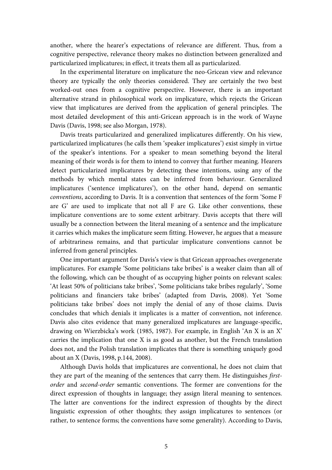another, where the hearer's expectations of relevance are different. Thus, from a cognitive perspective, relevance theory makes no distinction between generalized and particularized implicatures; in effect, it treats them all as particularized.

 In the experimental literature on implicature the neo-Gricean view and relevance theory are typically the only theories considered. They are certainly the two best worked-out ones from a cognitive perspective. However, there is an important alternative strand in philosophical work on implicature, which rejects the Gricean view that implicatures are derived from the application of general principles. The most detailed development of this anti-Gricean approach is in the work of Wayne Davis (Davis, 1998; see also Morgan, 1978).

 Davis treats particularized and generalized implicatures differently. On his view, particularized implicatures (he calls them 'speaker implicatures') exist simply in virtue of the speaker's intentions. For a speaker to mean something beyond the literal meaning of their words is for them to intend to convey that further meaning. Hearers detect particularized implicatures by detecting these intentions, using any of the methods by which mental states can be inferred from behaviour. Generalized implicatures ('sentence implicatures'), on the other hand, depend on semantic *conventions*, according to Davis. It is a convention that sentences of the form 'Some F are G' are used to implicate that not all F are G. Like other conventions, these implicature conventions are to some extent arbitrary. Davis accepts that there will usually be a connection between the literal meaning of a sentence and the implicature it carries which makes the implicature seem fitting. However, he argues that a measure of arbitrariness remains, and that particular implicature conventions cannot be inferred from general principles.

 One important argument for Davis's view is that Gricean approaches overgenerate implicatures. For example 'Some politicians take bribes' is a weaker claim than all of the following, which can be thought of as occupying higher points on relevant scales: 'At least 50% of politicians take bribes', 'Some politicians take bribes regularly', 'Some politicians and financiers take bribes' (adapted from Davis, 2008). Yet 'Some politicians take bribes' does not imply the denial of any of those claims. Davis concludes that which denials it implicates is a matter of convention, not inference. Davis also cites evidence that many generalized implicatures are language-specific, drawing on Wierzbicka's work (1985, 1987). For example, in English 'An X is an X' carries the implication that one X is as good as another, but the French translation does not, and the Polish translation implicates that there is something uniquely good about an X (Davis, 1998, p.144, 2008).

 Although Davis holds that implicatures are conventional, he does not claim that they are part of the meaning of the sentences that carry them. He distinguishes *firstorder* and *second-order* semantic conventions. The former are conventions for the direct expression of thoughts in language; they assign literal meaning to sentences. The latter are conventions for the indirect expression of thoughts by the direct linguistic expression of other thoughts; they assign implicatures to sentences (or rather, to sentence forms; the conventions have some generality). According to Davis,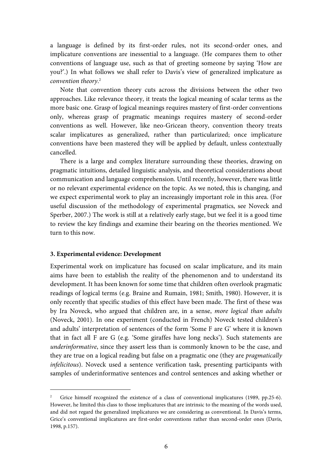a language is defined by its first-order rules, not its second-order ones, and implicature conventions are inessential to a language. (He compares them to other conventions of language use, such as that of greeting someone by saying 'How are you?'.) In what follows we shall refer to Davis's view of generalized implicature as *convention theory*. 2

 Note that convention theory cuts across the divisions between the other two approaches. Like relevance theory, it treats the logical meaning of scalar terms as the more basic one. Grasp of logical meanings requires mastery of first-order conventions only, whereas grasp of pragmatic meanings requires mastery of second-order conventions as well. However, like neo-Gricean theory, convention theory treats scalar implicatures as generalized, rather than particularized; once implicature conventions have been mastered they will be applied by default, unless contextually cancelled.

 There is a large and complex literature surrounding these theories, drawing on pragmatic intuitions, detailed linguistic analysis, and theoretical considerations about communication and language comprehension. Until recently, however, there was little or no relevant experimental evidence on the topic. As we noted, this is changing, and we expect experimental work to play an increasingly important role in this area. (For useful discussion of the methodology of experimental pragmatics, see Noveck and Sperber, 2007.) The work is still at a relatively early stage, but we feel it is a good time to review the key findings and examine their bearing on the theories mentioned. We turn to this now.

#### **3. Experimental evidence: Development**

-

Experimental work on implicature has focused on scalar implicature, and its main aims have been to establish the reality of the phenomenon and to understand its development. It has been known for some time that children often overlook pragmatic readings of logical terms (e.g. Braine and Rumain, 1981; Smith, 1980). However, it is only recently that specific studies of this effect have been made. The first of these was by Ira Noveck, who argued that children are, in a sense, *more logical than adults* (Noveck, 2001). In one experiment (conducted in French) Noveck tested children's and adults' interpretation of sentences of the form 'Some F are G' where it is known that in fact all F are G (e.g. 'Some giraffes have long necks'). Such statements are *underinformative*, since they assert less than is commonly known to be the case, and they are true on a logical reading but false on a pragmatic one (they are *pragmatically infelicitous*). Noveck used a sentence verification task, presenting participants with samples of underinformative sentences and control sentences and asking whether or

<sup>2</sup> Grice himself recognized the existence of a class of conventional implicatures (1989, pp.25-6). However, he limited this class to those implicatures that are intrinsic to the meaning of the words used, and did not regard the generalized implicatures we are considering as conventional. In Davis's terms, Grice's conventional implicatures are first-order conventions rather than second-order ones (Davis, 1998, p.157).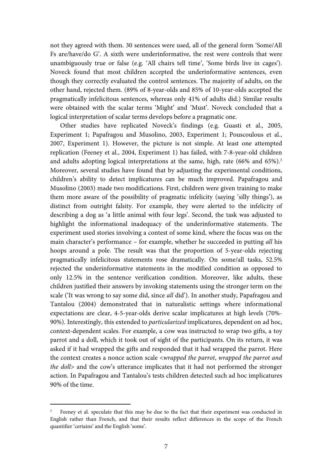not they agreed with them. 30 sentences were used, all of the general form 'Some/All Fs are/have/do G'. A sixth were underinformative, the rest were controls that were unambiguously true or false (e.g. 'All chairs tell time', 'Some birds live in cages'). Noveck found that most children accepted the underinformative sentences, even though they correctly evaluated the control sentences. The majority of adults, on the other hand, rejected them. (89% of 8-year-olds and 85% of 10-year-olds accepted the pragmatically infelicitous sentences, whereas only 41% of adults did.) Similar results were obtained with the scalar terms 'Might' and 'Must'. Noveck concluded that a logical interpretation of scalar terms develops before a pragmatic one.

 Other studies have replicated Noveck's findings (e.g. Guasti et al., 2005, Experiment 1; Papafragou and Musolino, 2003, Experiment 1; Pouscoulous et al., 2007, Experiment 1). However, the picture is not simple. At least one attempted replication (Feeney et al., 2004, Experiment 1) has failed, with 7-8-year-old children and adults adopting logical interpretations at the same, high, rate (66% and 65%).<sup>3</sup> Moreover, several studies have found that by adjusting the experimental conditions, children's ability to detect implicatures can be much improved. Papafragou and Musolino (2003) made two modifications. First, children were given training to make them more aware of the possibility of pragmatic infelicity (saying 'silly things'), as distinct from outright falsity. For example, they were alerted to the infelicity of describing a dog as 'a little animal with four legs'. Second, the task was adjusted to highlight the informational inadequacy of the underinformative statements. The experiment used stories involving a contest of some kind, where the focus was on the main character's performance – for example, whether he succeeded in putting *all* his hoops around a pole. The result was that the proportion of 5-year-olds rejecting pragmatically infelicitous statements rose dramatically. On some/all tasks, 52.5% rejected the underinformative statements in the modified condition as opposed to only 12.5% in the sentence verification condition. Moreover, like adults, these children justified their answers by invoking statements using the stronger term on the scale ('It was wrong to say some did, since *all* did'). In another study, Papafragou and Tantalou (2004) demonstrated that in naturalistic settings where informational expectations are clear, 4-5-year-olds derive scalar implicatures at high levels (70%- 90%). Interestingly, this extended to *particularized* implicatures, dependent on ad hoc, context-dependent scales. For example, a cow was instructed to wrap two gifts, a toy parrot and a doll, which it took out of sight of the participants. On its return, it was asked if it had wrapped the gifts and responded that it had wrapped the parrot. Here the context creates a nonce action scale <*wrapped the parrot*, *wrapped the parrot and the doll*> and the cow's utterance implicates that it had not performed the stronger action. In Papafragou and Tantalou's tests children detected such ad hoc implicatures 90% of the time.

<sup>3</sup> Feeney et al. speculate that this may be due to the fact that their experiment was conducted in English rather than French, and that their results reflect differences in the scope of the French quantifier 'certains' and the English 'some'.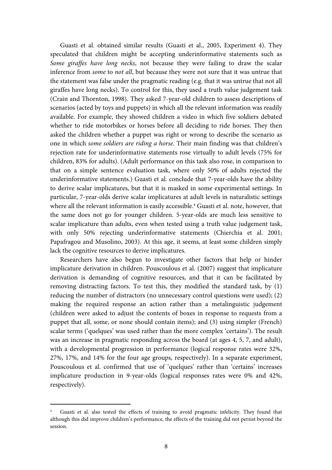Guasti et al. obtained similar results (Guasti et al., 2005, Experiment 4). They speculated that children might be accepting underinformative statements such as *Some giraffes have long necks*, not because they were failing to draw the scalar inference from *some* to *not all*, but because they were not sure that it was untrue that the statement was false under the pragmatic reading (e.g. that it was untrue that not all giraffes have long necks). To control for this, they used a truth value judgement task (Crain and Thornton, 1998). They asked 7-year-old children to assess descriptions of scenarios (acted by toys and puppets) in which all the relevant information was readily available. For example, they showed children a video in which five soldiers debated whether to ride motorbikes or horses before all deciding to ride horses. They then asked the children whether a puppet was right or wrong to describe the scenario as one in which *some soldiers are riding a horse*. Their main finding was that children's rejection rate for underinformative statements rose virtually to adult levels (75% for children, 83% for adults). (Adult performance on this task also rose, in comparison to that on a simple sentence evaluation task, where only 50% of adults rejected the underinformative statements.) Guasti et al. conclude that 7-year-olds have the ability to derive scalar implicatures, but that it is masked in some experimental settings. In particular, 7-year-olds derive scalar implicatures at adult levels in naturalistic settings where all the relevant information is easily accessible.<sup>4</sup> Guasti et al. note, however, that the same does not go for younger children. 5-year-olds are much less sensitive to scalar implicature than adults, even when tested using a truth value judgement task, with only 50% rejecting underinformative statements (Chierchia et al. 2001; Papafragou and Musolino, 2003). At this age, it seems, at least some children simply lack the cognitive resources to derive implicatures.

 Researchers have also begun to investigate other factors that help or hinder implicature derivation in children. Pouscoulous et al. (2007) suggest that implicature derivation is demanding of cognitive resources, and that it can be facilitated by removing distracting factors. To test this, they modified the standard task, by (1) reducing the number of distractors (no unnecessary control questions were used); (2) making the required response an action rather than a metalinguistic judgement (children were asked to adjust the contents of boxes in response to requests from a puppet that all, some, or none should contain items); and (3) using simpler (French) scalar terms ('quelques' was used rather than the more complex 'certains'). The result was an increase in pragmatic responding across the board (at ages 4, 5, 7, and adult), with a developmental progression in performance (logical response rates were 32%, 27%, 17%, and 14% for the four age groups, respectively). In a separate experiment, Pouscoulous et al. confirmed that use of 'quelques' rather than 'certains' increases implicature production in 9-year-olds (logical responses rates were 0% and 42%, respectively).

<sup>4</sup> Guasti et al. also tested the effects of training to avoid pragmatic infelicity. They found that although this did improve children's performance, the effects of the training did not persist beyond the session.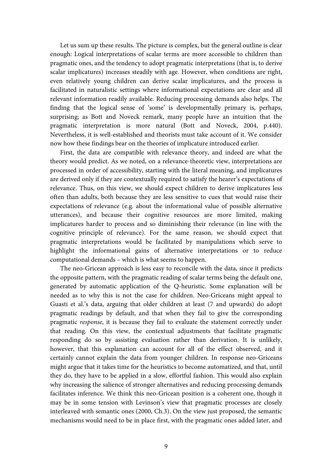Let us sum up these results. The picture is complex, but the general outline is clear enough: Logical interpretations of scalar terms are more accessible to children than pragmatic ones, and the tendency to adopt pragmatic interpretations (that is, to derive scalar implicatures) increases steadily with age. However, when conditions are right, even relatively young children can derive scalar implicatures, and the process is facilitated in naturalistic settings where informational expectations are clear and all relevant information readily available. Reducing processing demands also helps. The finding that the logical sense of 'some' is developmentally primary is, perhaps, surprising; as Bott and Noveck remark, many people have an intuition that the pragmatic interpretation is more natural (Bott and Noveck, 2004, p.440). Nevertheless, it is well-established and theorists must take account of it. We consider now how these findings bear on the theories of implicature introduced earlier.

 First, the data are compatible with relevance theory, and indeed are what the theory would predict. As we noted, on a relevance-theoretic view, interpretations are processed in order of accessibility, starting with the literal meaning, and implicatures are derived only if they are contextually required to satisfy the hearer's expectations of relevance. Thus, on this view, we should expect children to derive implicatures less often than adults, both because they are less sensitive to cues that would raise their expectations of relevance (e.g. about the informational value of possible alternative utterances), and because their cognitive resources are more limited, making implicatures harder to process and so diminishing their relevance (in line with the cognitive principle of relevance). For the same reason, we should expect that pragmatic interpretations would be facilitated by manipulations which serve to highlight the informational gains of alternative interpretations or to reduce computational demands – which is what seems to happen.

 The neo-Gricean approach is less easy to reconcile with the data, since it predicts the opposite pattern, with the pragmatic reading of scalar terms being the default one, generated by automatic application of the Q-heuristic. Some explanation will be needed as to why this is not the case for children. Neo-Griceans might appeal to Guasti et al.'s data, arguing that older children at least (7 and upwards) do adopt pragmatic readings by default, and that when they fail to give the corresponding pragmatic *response*, it is because they fail to evaluate the statement correctly under that reading. On this view, the contextual adjustments that facilitate pragmatic responding do so by assisting evaluation rather than derivation. It is unlikely, however, that this explanation can account for all of the effect observed, and it certainly cannot explain the data from younger children. In response neo-Griceans might argue that it takes time for the heuristics to become automatized, and that, until they do, they have to be applied in a slow, effortful fashion. This would also explain why increasing the salience of stronger alternatives and reducing processing demands facilitates inference. We think this neo-Gricean position is a coherent one, though it may be in some tension with Levinson's view that pragmatic processes are closely interleaved with semantic ones (2000, Ch.3). On the view just proposed, the semantic mechanisms would need to be in place first, with the pragmatic ones added later, and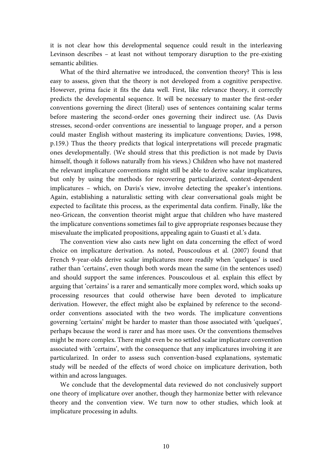it is not clear how this developmental sequence could result in the interleaving Levinson describes – at least not without temporary disruption to the pre-existing semantic abilities.

 What of the third alternative we introduced, the convention theory? This is less easy to assess, given that the theory is not developed from a cognitive perspective. However, prima facie it fits the data well. First, like relevance theory, it correctly predicts the developmental sequence. It will be necessary to master the first-order conventions governing the direct (literal) uses of sentences containing scalar terms before mastering the second-order ones governing their indirect use. (As Davis stresses, second-order conventions are inessential to language proper, and a person could master English without mastering its implicature conventions; Davies, 1998, p.159.) Thus the theory predicts that logical interpretations will precede pragmatic ones developmentally. (We should stress that this prediction is not made by Davis himself, though it follows naturally from his views.) Children who have not mastered the relevant implicature conventions might still be able to derive scalar implicatures, but only by using the methods for recovering particularized, context-dependent implicatures – which, on Davis's view, involve detecting the speaker's intentions. Again, establishing a naturalistic setting with clear conversational goals might be expected to facilitate this process, as the experimental data confirm. Finally, like the neo-Gricean, the convention theorist might argue that children who have mastered the implicature conventions sometimes fail to give appropriate responses because they misevaluate the implicated propositions, appealing again to Guasti et al.'s data.

 The convention view also casts new light on data concerning the effect of word choice on implicature derivation. As noted, Pouscoulous et al. (2007) found that French 9-year-olds derive scalar implicatures more readily when 'quelques' is used rather than 'certains', even though both words mean the same (in the sentences used) and should support the same inferences. Pouscoulous et al. explain this effect by arguing that 'certains' is a rarer and semantically more complex word, which soaks up processing resources that could otherwise have been devoted to implicature derivation. However, the effect might also be explained by reference to the secondorder conventions associated with the two words. The implicature conventions governing 'certains' might be harder to master than those associated with 'quelques', perhaps because the word is rarer and has more uses. Or the conventions themselves might be more complex. There might even be no settled scalar implicature convention associated with 'certains', with the consequence that any implicatures involving it are particularized. In order to assess such convention-based explanations, systematic study will be needed of the effects of word choice on implicature derivation, both within and across languages.

 We conclude that the developmental data reviewed do not conclusively support one theory of implicature over another, though they harmonize better with relevance theory and the convention view. We turn now to other studies, which look at implicature processing in adults.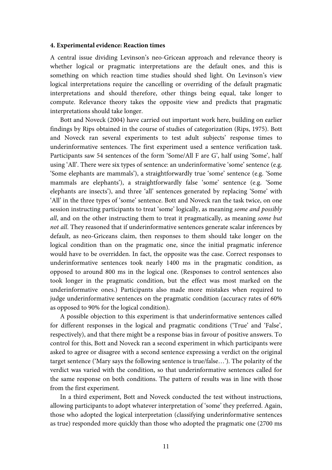#### **4. Experimental evidence: Reaction times**

A central issue dividing Levinson's neo-Gricean approach and relevance theory is whether logical or pragmatic interpretations are the default ones, and this is something on which reaction time studies should shed light. On Levinson's view logical interpretations require the cancelling or overriding of the default pragmatic interpretations and should therefore, other things being equal, take longer to compute. Relevance theory takes the opposite view and predicts that pragmatic interpretations should take longer.

 Bott and Noveck (2004) have carried out important work here, building on earlier findings by Rips obtained in the course of studies of categorization (Rips, 1975). Bott and Noveck ran several experiments to test adult subjects' response times to underinformative sentences. The first experiment used a sentence verification task. Participants saw 54 sentences of the form 'Some/All F are G', half using 'Some', half using 'All'. There were six types of sentence: an underinformative 'some' sentence (e.g. 'Some elephants are mammals'), a straightforwardly true 'some' sentence (e.g. 'Some mammals are elephants'), a straightforwardly false 'some' sentence (e.g. 'Some elephants are insects'), and three 'all' sentences generated by replacing 'Some' with 'All' in the three types of 'some' sentence. Bott and Noveck ran the task twice, on one session instructing participants to treat 'some' logically, as meaning *some and possibly all*, and on the other instructing them to treat it pragmatically, as meaning *some but not all*. They reasoned that if underinformative sentences generate scalar inferences by default, as neo-Griceans claim, then responses to them should take longer on the logical condition than on the pragmatic one, since the initial pragmatic inference would have to be overridden. In fact, the opposite was the case. Correct responses to underinformative sentences took nearly 1400 ms in the pragmatic condition, as opposed to around 800 ms in the logical one. (Responses to control sentences also took longer in the pragmatic condition, but the effect was most marked on the underinformative ones.) Participants also made more mistakes when required to judge underinformative sentences on the pragmatic condition (accuracy rates of 60% as opposed to 90% for the logical condition).

 A possible objection to this experiment is that underinformative sentences called for different responses in the logical and pragmatic conditions ('True' and 'False', respectively), and that there might be a response bias in favour of positive answers. To control for this, Bott and Noveck ran a second experiment in which participants were asked to agree or disagree with a second sentence expressing a verdict on the original target sentence ('Mary says the following sentence is true/false…'). The polarity of the verdict was varied with the condition, so that underinformative sentences called for the same response on both conditions. The pattern of results was in line with those from the first experiment.

 In a third experiment, Bott and Noveck conducted the test without instructions, allowing participants to adopt whatever interpretation of 'some' they preferred. Again, those who adopted the logical interpretation (classifying underinformative sentences as true) responded more quickly than those who adopted the pragmatic one (2700 ms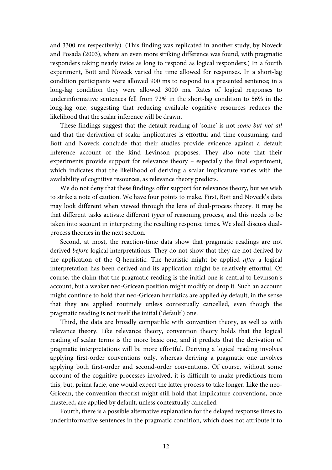and 3300 ms respectively). (This finding was replicated in another study, by Noveck and Posada (2003), where an even more striking difference was found, with pragmatic responders taking nearly twice as long to respond as logical responders.) In a fourth experiment, Bott and Noveck varied the time allowed for responses. In a short-lag condition participants were allowed 900 ms to respond to a presented sentence; in a long-lag condition they were allowed 3000 ms. Rates of logical responses to underinformative sentences fell from 72% in the short-lag condition to 56% in the long-lag one, suggesting that reducing available cognitive resources reduces the likelihood that the scalar inference will be drawn.

 These findings suggest that the default reading of 'some' is not *some but not all* and that the derivation of scalar implicatures is effortful and time-consuming, and Bott and Noveck conclude that their studies provide evidence against a default inference account of the kind Levinson proposes. They also note that their experiments provide support for relevance theory – especially the final experiment, which indicates that the likelihood of deriving a scalar implicature varies with the availability of cognitive resources, as relevance theory predicts.

 We do not deny that these findings offer support for relevance theory, but we wish to strike a note of caution. We have four points to make. First, Bott and Noveck's data may look different when viewed through the lens of dual-process theory. It may be that different tasks activate different *types* of reasoning process, and this needs to be taken into account in interpreting the resulting response times. We shall discuss dualprocess theories in the next section.

 Second, at most, the reaction-time data show that pragmatic readings are not derived *before* logical interpretations. They do not show that they are not derived by the application of the Q-heuristic. The heuristic might be applied *after* a logical interpretation has been derived and its application might be relatively effortful. Of course, the claim that the pragmatic reading is the initial one is central to Levinson's account, but a weaker neo-Gricean position might modify or drop it. Such an account might continue to hold that neo-Gricean heuristics are applied *by* default, in the sense that they are applied routinely unless contextually cancelled, even though the pragmatic reading is not itself the initial ('default') one.

 Third, the data are broadly compatible with convention theory, as well as with relevance theory. Like relevance theory, convention theory holds that the logical reading of scalar terms is the more basic one, and it predicts that the derivation of pragmatic interpretations will be more effortful. Deriving a logical reading involves applying first-order conventions only, whereas deriving a pragmatic one involves applying both first-order and second-order conventions. Of course, without some account of the cognitive processes involved, it is difficult to make predictions from this, but, prima facie, one would expect the latter process to take longer. Like the neo-Gricean, the convention theorist might still hold that implicature conventions, once mastered, are applied by default, unless contextually cancelled.

 Fourth, there is a possible alternative explanation for the delayed response times to underinformative sentences in the pragmatic condition, which does not attribute it to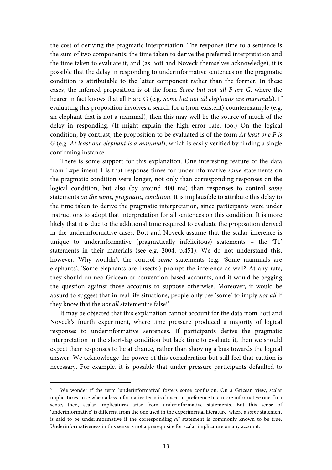the cost of deriving the pragmatic interpretation. The response time to a sentence is the sum of two components: the time taken to derive the preferred interpretation and the time taken to evaluate it, and (as Bott and Noveck themselves acknowledge), it is possible that the delay in responding to underinformative sentences on the pragmatic condition is attributable to the latter component rather than the former. In these cases, the inferred proposition is of the form *Some but not all F are G*, where the hearer in fact knows that all F are G (e.g. *Some but not all elephants are mammals*). If evaluating this proposition involves a search for a (non-existent) counterexample (e.g. an elephant that is not a mammal), then this may well be the source of much of the delay in responding. (It might explain the high error rate, too.) On the logical condition, by contrast, the proposition to be evaluated is of the form *At least one F is G* (e.g. *At least one elephant is a mammal*), which is easily verified by finding a single confirming instance.

 There is some support for this explanation. One interesting feature of the data from Experiment 1 is that response times for underinformative *some* statements on the pragmatic condition were longer, not only than corresponding responses on the logical condition, but also (by around 400 ms) than responses to control *some* statements *on the same, pragmatic, condition*. It is implausible to attribute this delay to the time taken to derive the pragmatic interpretation, since participants were under instructions to adopt that interpretation for all sentences on this condition. It is more likely that it is due to the additional time required to evaluate the proposition derived in the underinformative cases. Bott and Noveck assume that the scalar inference is unique to underinformative (pragmatically infelicitous) statements – the 'T1' statements in their materials (see e.g. 2004, p.451). We do not understand this, however. Why wouldn't the control *some* statements (e.g. 'Some mammals are elephants', 'Some elephants are insects') prompt the inference as well? At any rate, they should on neo-Gricean or convention-based accounts, and it would be begging the question against those accounts to suppose otherwise. Moreover, it would be absurd to suggest that in real life situations, people only use 'some' to imply *not all* if they know that the *not all* statement is false!<sup>5</sup>

 It may be objected that this explanation cannot account for the data from Bott and Noveck's fourth experiment, where time pressure produced a majority of logical responses to underinformative sentences. If participants derive the pragmatic interpretation in the short-lag condition but lack time to evaluate it, then we should expect their responses to be at chance, rather than showing a bias towards the logical answer. We acknowledge the power of this consideration but still feel that caution is necessary. For example, it is possible that under pressure participants defaulted to

<sup>5</sup> We wonder if the term 'underinformative' fosters some confusion. On a Gricean view, scalar implicatures arise when a less informative term is chosen in preference to a more informative one. In a sense, then, scalar implicatures arise from underinformative statements. But this sense of 'underinformative' is different from the one used in the experimental literature, where a *some* statement is said to be underinformative if the corresponding *all* statement is commonly known to be true. Underinformativeness in this sense is not a prerequisite for scalar implicature on any account.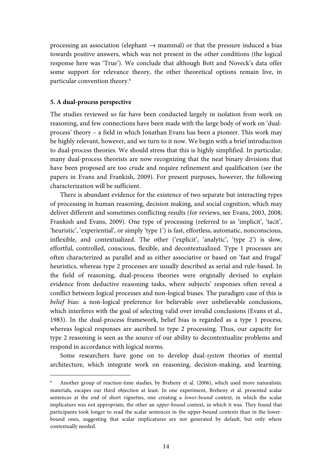processing an association (elephant  $\rightarrow$  mammal) or that the pressure induced a bias towards positive answers, which was not present in the other conditions (the logical response here was 'True'). We conclude that although Bott and Noveck's data offer some support for relevance theory, the other theoretical options remain live, in particular convention theory.<sup>6</sup>

## **5. A dual-process perspective**

 $\overline{a}$ 

The studies reviewed so far have been conducted largely in isolation from work on reasoning, and few connections have been made with the large body of work on 'dualprocess' theory – a field in which Jonathan Evans has been a pioneer. This work may be highly relevant, however, and we turn to it now. We begin with a brief introduction to dual-process theories. We should stress that this is highly simplified. In particular, many dual-process theorists are now recognizing that the neat binary divisions that have been proposed are too crude and require refinement and qualification (see the papers in Evans and Frankish, 2009). For present purposes, however, the following characterization will be sufficient.

 There is abundant evidence for the existence of two separate but interacting types of processing in human reasoning, decision making, and social cognition, which may deliver different and sometimes conflicting results (for reviews, see Evans, 2003, 2008; Frankish and Evans, 2009). One type of processing (referred to as 'implicit', 'tacit', 'heuristic', 'experiential', or simply 'type 1') is fast, effortless, automatic, nonconscious, inflexible, and contextualized. The other ('explicit', 'analytic', 'type 2') is slow, effortful, controlled, conscious, flexible, and decontextualized. Type 1 processes are often characterized as parallel and as either associative or based on 'fast and frugal' heuristics, whereas type 2 processes are usually described as serial and rule-based. In the field of reasoning, dual-process theories were originally devised to explain evidence from deductive reasoning tasks, where subjects' responses often reveal a conflict between logical processes and non-logical biases. The paradigm case of this is *belief bias*: a non-logical preference for believable over unbelievable conclusions, which interferes with the goal of selecting valid over invalid conclusions (Evans et al., 1983). In the dual-process framework, belief bias is regarded as a type 1 process, whereas logical responses are ascribed to type 2 processing. Thus, our capacity for type 2 reasoning is seen as the source of our ability to decontextualize problems and respond in accordance with logical norms.

 Some researchers have gone on to develop dual-*system* theories of mental architecture, which integrate work on reasoning, decision-making, and learning.

<sup>6</sup> Another group of reaction-time studies, by Breheny et al. (2006), which used more naturalistic materials, escapes our third objection at least. In one experiment, Breheny et al. presented scalar sentences at the end of short vignettes, one creating a *lower-bound* context, in which the scalar implicature was not appropriate, the other an *upper-bound* context, in which it was. They found that participants took longer to read the scalar sentences in the upper-bound contexts than in the lowerbound ones, suggesting that scalar implicatures are not generated by default, but only where contextually needed.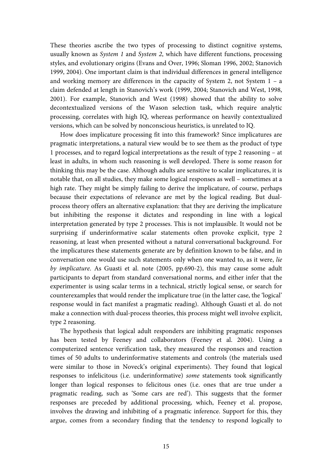These theories ascribe the two types of processing to distinct cognitive systems, usually known as *System 1* and *System 2*, which have different functions, processing styles, and evolutionary origins (Evans and Over, 1996; Sloman 1996, 2002; Stanovich 1999, 2004). One important claim is that individual differences in general intelligence and working memory are differences in the capacity of System 2, not System 1 – a claim defended at length in Stanovich's work (1999, 2004; Stanovich and West, 1998, 2001). For example, Stanovich and West (1998) showed that the ability to solve decontextualized versions of the Wason selection task, which require analytic processing, correlates with high IQ, whereas performance on heavily contextualized versions, which can be solved by nonconscious heuristics, is unrelated to IQ.

 How does implicature processing fit into this framework? Since implicatures are pragmatic interpretations, a natural view would be to see them as the product of type 1 processes, and to regard logical interpretations as the result of type 2 reasoning – at least in adults, in whom such reasoning is well developed. There is some reason for thinking this may be the case. Although adults are sensitive to scalar implicatures, it is notable that, on all studies, they make some logical responses as well – sometimes at a high rate. They might be simply failing to derive the implicature, of course, perhaps because their expectations of relevance are met by the logical reading. But dualprocess theory offers an alternative explanation: that they are deriving the implicature but inhibiting the response it dictates and responding in line with a logical interpretation generated by type 2 processes. This is not implausible. It would not be surprising if underinformative scalar statements often provoke explicit, type 2 reasoning, at least when presented without a natural conversational background. For the implicatures these statements generate are by definition known to be false, and in conversation one would use such statements only when one wanted to, as it were, *lie by implicature*. As Guasti et al. note (2005, pp.690-2), this may cause some adult participants to depart from standard conversational norms, and either infer that the experimenter is using scalar terms in a technical, strictly logical sense, or search for counterexamples that would render the implicature true (in the latter case, the 'logical' response would in fact manifest a pragmatic reading). Although Guasti et al. do not make a connection with dual-process theories, this process might well involve explicit, type 2 reasoning.

 The hypothesis that logical adult responders are inhibiting pragmatic responses has been tested by Feeney and collaborators (Feeney et al. 2004). Using a computerized sentence verification task, they measured the responses and reaction times of 50 adults to underinformative statements and controls (the materials used were similar to those in Noveck's original experiments). They found that logical responses to infelicitous (i.e. underinformative) *some* statements took significantly longer than logical responses to felicitous ones (i.e. ones that are true under a pragmatic reading, such as 'Some cars are red'). This suggests that the former responses are preceded by additional processing, which, Feeney et al. propose, involves the drawing and inhibiting of a pragmatic inference. Support for this, they argue, comes from a secondary finding that the tendency to respond logically to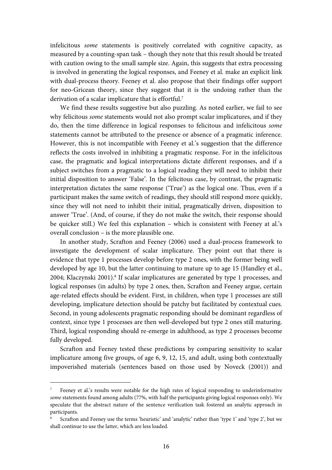infelicitous *some* statements is positively correlated with cognitive capacity, as measured by a counting-span task – though they note that this result should be treated with caution owing to the small sample size. Again, this suggests that extra processing is involved in generating the logical responses, and Feeney et al. make an explicit link with dual-process theory. Feeney et al. also propose that their findings offer support for neo-Gricean theory, since they suggest that it is the undoing rather than the derivation of a scalar implicature that is effortful.<sup>7</sup>

 We find these results suggestive but also puzzling. As noted earlier, we fail to see why felicitous *some* statements would not also prompt scalar implicatures, and if they do, then the time difference in logical responses to felicitous and infelicitous *some* statements cannot be attributed to the presence or absence of a pragmatic inference. However, this is not incompatible with Feeney et al.'s suggestion that the difference reflects the costs involved in inhibiting a pragmatic response. For in the infelicitous case, the pragmatic and logical interpretations dictate different responses, and if a subject switches from a pragmatic to a logical reading they will need to inhibit their initial disposition to answer 'False'. In the felicitous case, by contrast, the pragmatic interpretation dictates the same response ('True') as the logical one. Thus, even if a participant makes the same switch of readings, they should still respond more quickly, since they will not need to inhibit their initial, pragmatically driven, disposition to answer 'True'. (And, of course, if they do not make the switch, their response should be quicker still.) We feel this explanation – which is consistent with Feeney at al.'s overall conclusion – is the more plausible one.

 In another study, Scrafton and Feeney (2006) used a dual-process framework to investigate the development of scalar implicature. They point out that there is evidence that type 1 processes develop before type 2 ones, with the former being well developed by age 10, but the latter continuing to mature up to age 15 (Handley et al., 2004; Klaczynski 2001).<sup>8</sup> If scalar implicatures are generated by type 1 processes, and logical responses (in adults) by type 2 ones, then, Scrafton and Feeney argue, certain age-related effects should be evident. First, in children, when type 1 processes are still developing, implicature detection should be patchy but facilitated by contextual cues. Second, in young adolescents pragmatic responding should be dominant regardless of context, since type 1 processes are then well-developed but type 2 ones still maturing. Third, logical responding should re-emerge in adulthood, as type 2 processes become fully developed.

 Scrafton and Feeney tested these predictions by comparing sensitivity to scalar implicature among five groups, of age 6, 9, 12, 15, and adult, using both contextually impoverished materials (sentences based on those used by Noveck (2001)) and

<sup>7</sup> Feeney et al.'s results were notable for the high rates of logical responding to underinformative *some* statements found among adults (77%, with half the participants giving logical responses only). We speculate that the abstract nature of the sentence verification task fostered an analytic approach in participants.

<sup>8</sup> Scrafton and Feeney use the terms 'heuristic' and 'analytic' rather than 'type 1' and 'type 2', but we shall continue to use the latter, which are less loaded.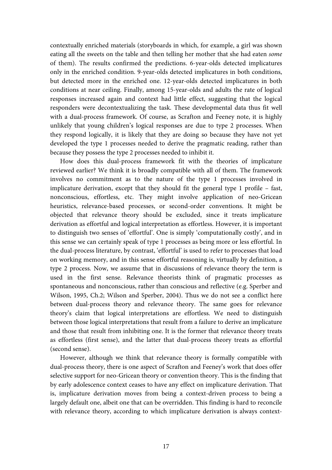contextually enriched materials (storyboards in which, for example, a girl was shown eating all the sweets on the table and then telling her mother that she had eaten *some* of them). The results confirmed the predictions. 6-year-olds detected implicatures only in the enriched condition. 9-year-olds detected implicatures in both conditions, but detected more in the enriched one. 12-year-olds detected implicatures in both conditions at near ceiling. Finally, among 15-year-olds and adults the rate of logical responses increased again and context had little effect, suggesting that the logical responders were decontextualizing the task. These developmental data thus fit well with a dual-process framework. Of course, as Scrafton and Feeney note, it is highly unlikely that young children's logical responses are due to type 2 processes. When they respond logically, it is likely that they are doing so because they have not yet developed the type 1 processes needed to derive the pragmatic reading, rather than because they possess the type 2 processes needed to inhibit it.

 How does this dual-process framework fit with the theories of implicature reviewed earlier? We think it is broadly compatible with all of them. The framework involves no commitment as to the nature of the type 1 processes involved in implicature derivation, except that they should fit the general type 1 profile – fast, nonconscious, effortless, etc. They might involve application of neo-Gricean heuristics, relevance-based processes, or second-order conventions. It might be objected that relevance theory should be excluded, since it treats implicature derivation as effortful and logical interpretation as effortless. However, it is important to distinguish two senses of 'effortful'. One is simply 'computationally costly', and in this sense we can certainly speak of type 1 processes as being more or less effortful. In the dual-process literature, by contrast, 'effortful' is used to refer to processes that load on working memory, and in this sense effortful reasoning is, virtually by definition, a type 2 process. Now, we assume that in discussions of relevance theory the term is used in the first sense. Relevance theorists think of pragmatic processes as spontaneous and nonconscious, rather than conscious and reflective (e.g. Sperber and Wilson, 1995, Ch.2; Wilson and Sperber, 2004). Thus we do not see a conflict here between dual-process theory and relevance theory. The same goes for relevance theory's claim that logical interpretations are effortless. We need to distinguish between those logical interpretations that result from a failure to derive an implicature and those that result from inhibiting one. It is the former that relevance theory treats as effortless (first sense), and the latter that dual-process theory treats as effortful (second sense).

 However, although we think that relevance theory is formally compatible with dual-process theory, there is one aspect of Scrafton and Feeney's work that does offer selective support for neo-Gricean theory or convention theory. This is the finding that by early adolescence context ceases to have any effect on implicature derivation. That is, implicature derivation moves from being a context-driven process to being a largely default one, albeit one that can be overridden. This finding is hard to reconcile with relevance theory, according to which implicature derivation is always context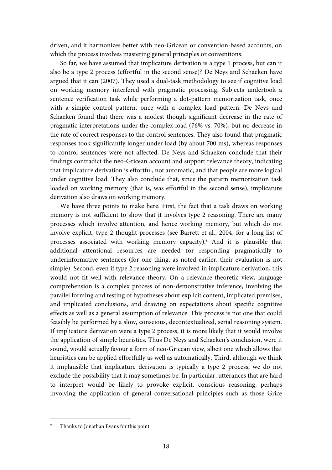driven, and it harmonizes better with neo-Gricean or convention-based accounts, on which the process involves mastering general principles or conventions.

 So far, we have assumed that implicature derivation is a type 1 process, but can it also be a type 2 process (effortful in the second sense)? De Neys and Schaeken have argued that it can (2007). They used a dual-task methodology to see if cognitive load on working memory interfered with pragmatic processing. Subjects undertook a sentence verification task while performing a dot-pattern memorization task, once with a simple control pattern, once with a complex load pattern. De Neys and Schaeken found that there was a modest though significant decrease in the rate of pragmatic interpretations under the complex load (76% vs. 70%), but no decrease in the rate of correct responses to the control sentences. They also found that pragmatic responses took significantly longer under load (by about 700 ms), whereas responses to control sentences were not affected. De Neys and Schaeken conclude that their findings contradict the neo-Gricean account and support relevance theory, indicating that implicature derivation is effortful, not automatic, and that people are more logical under cognitive load. They also conclude that, since the pattern memorization task loaded on working memory (that is, was effortful in the second sense), implicature derivation also draws on working memory.

 We have three points to make here. First, the fact that a task draws on working memory is not sufficient to show that it involves type 2 reasoning. There are many processes which involve attention, and hence working memory, but which do not involve explicit, type 2 thought processes (see Barrett et al., 2004, for a long list of processes associated with working memory capacity).<sup>9</sup> And it is plausible that additional attentional resources are needed for responding pragmatically to underinformative sentences (for one thing, as noted earlier, their evaluation is not simple). Second, even if type 2 reasoning were involved in implicature derivation, this would not fit well with relevance theory. On a relevance-theoretic view, language comprehension is a complex process of non-demonstrative inference, involving the parallel forming and testing of hypotheses about explicit content, implicated premises, and implicated conclusions, and drawing on expectations about specific cognitive effects as well as a general assumption of relevance. This process is not one that could feasibly be performed by a slow, conscious, decontextualized, serial reasoning system. If implicature derivation were a type 2 process, it is more likely that it would involve the application of simple heuristics. Thus De Neys and Schaeken's conclusion, were it sound, would actually favour a form of neo-Gricean view, albeit one which allows that heuristics can be applied effortfully as well as automatically. Third, although we think it implausible that implicature derivation is typically a type 2 process, we do not exclude the possibility that it may sometimes be. In particular, utterances that are hard to interpret would be likely to provoke explicit, conscious reasoning, perhaps involving the application of general conversational principles such as those Grice

<sup>9</sup> Thanks to Jonathan Evans for this point.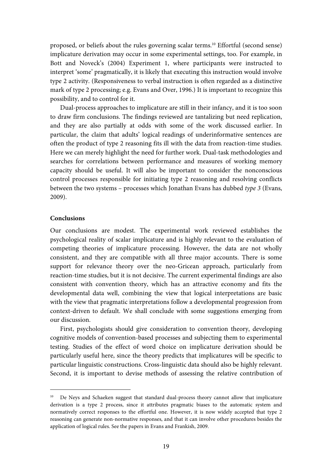proposed, or beliefs about the rules governing scalar terms.<sup>10</sup> Effortful (second sense) implicature derivation may occur in some experimental settings, too. For example, in Bott and Noveck's (2004) Experiment 1, where participants were instructed to interpret 'some' pragmatically, it is likely that executing this instruction would involve type 2 activity. (Responsiveness to verbal instruction is often regarded as a distinctive mark of type 2 processing; e.g. Evans and Over, 1996.) It is important to recognize this possibility, and to control for it.

 Dual-process approaches to implicature are still in their infancy, and it is too soon to draw firm conclusions. The findings reviewed are tantalizing but need replication, and they are also partially at odds with some of the work discussed earlier. In particular, the claim that adults' logical readings of underinformative sentences are often the product of type 2 reasoning fits ill with the data from reaction-time studies. Here we can merely highlight the need for further work. Dual-task methodologies and searches for correlations between performance and measures of working memory capacity should be useful. It will also be important to consider the nonconscious control processes responsible for initiating type 2 reasoning and resolving conflicts between the two systems – processes which Jonathan Evans has dubbed *type 3* (Evans, 2009).

### **Conclusions**

-

Our conclusions are modest. The experimental work reviewed establishes the psychological reality of scalar implicature and is highly relevant to the evaluation of competing theories of implicature processing. However, the data are not wholly consistent, and they are compatible with all three major accounts. There is some support for relevance theory over the neo-Gricean approach, particularly from reaction-time studies, but it is not decisive. The current experimental findings are also consistent with convention theory, which has an attractive economy and fits the developmental data well, combining the view that logical interpretations are basic with the view that pragmatic interpretations follow a developmental progression from context-driven to default. We shall conclude with some suggestions emerging from our discussion.

 First, psychologists should give consideration to convention theory, developing cognitive models of convention-based processes and subjecting them to experimental testing. Studies of the effect of word choice on implicature derivation should be particularly useful here, since the theory predicts that implicatures will be specific to particular linguistic constructions. Cross-linguistic data should also be highly relevant. Second, it is important to devise methods of assessing the relative contribution of

<sup>&</sup>lt;sup>10</sup> De Neys and Schaeken suggest that standard dual-process theory cannot allow that implicature derivation is a type 2 process, since it attributes pragmatic biases to the automatic system and normatively correct responses to the effortful one. However, it is now widely accepted that type 2 reasoning can generate non-normative responses, and that it can involve other procedures besides the application of logical rules. See the papers in Evans and Frankish, 2009.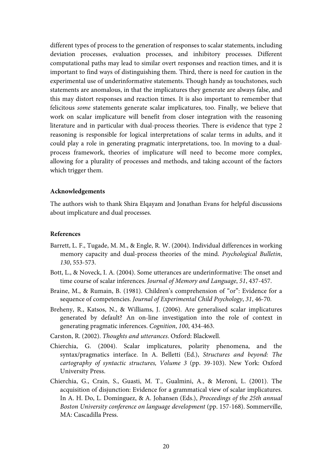different types of process to the generation of responses to scalar statements, including deviation processes, evaluation processes, and inhibitory processes. Different computational paths may lead to similar overt responses and reaction times, and it is important to find ways of distinguishing them. Third, there is need for caution in the experimental use of underinformative statements. Though handy as touchstones, such statements are anomalous, in that the implicatures they generate are always false, and this may distort responses and reaction times. It is also important to remember that felicitous *some* statements generate scalar implicatures, too. Finally, we believe that work on scalar implicature will benefit from closer integration with the reasoning literature and in particular with dual-process theories. There is evidence that type 2 reasoning is responsible for logical interpretations of scalar terms in adults, and it could play a role in generating pragmatic interpretations, too. In moving to a dualprocess framework, theories of implicature will need to become more complex, allowing for a plurality of processes and methods, and taking account of the factors which trigger them.

### **Acknowledgements**

The authors wish to thank Shira Elqayam and Jonathan Evans for helpful discussions about implicature and dual processes.

### **References**

- Barrett, L. F., Tugade, M. M., & Engle, R. W. (2004). Individual differences in working memory capacity and dual-process theories of the mind. *Psychological Bulletin*, *130*, 553-573.
- Bott, L., & Noveck, I. A. (2004). Some utterances are underinformative: The onset and time course of scalar inferences. *Journal of Memory and Language*, *51*, 437-457.
- Braine, M., & Rumain, B. (1981). Children's comprehension of "or": Evidence for a sequence of competencies. *Journal of Experimental Child Psychology*, *31*, 46-70.
- Breheny, R., Katsos, N., & Williams, J. (2006). Are generalised scalar implicatures generated by default? An on-line investigation into the role of context in generating pragmatic inferences. *Cognition*, *100*, 434-463.

Carston, R. (2002). *Thoughts and utterances*. Oxford: Blackwell.

- Chierchia, G. (2004). Scalar implicatures, polarity phenomena, and the syntax/pragmatics interface. In A. Belletti (Ed.), *Structures and beyond: The cartography of syntactic structures, Volume 3* (pp. 39-103). New York: Oxford University Press.
- Chierchia, G., Crain, S., Guasti, M. T., Gualmini, A., & Meroni, L. (2001). The acquisition of disjunction: Evidence for a grammatical view of scalar implicatures. In A. H. Do, L. Domínguez, & A. Johansen (Eds.), *Proceedings of the 25th annual Boston University conference on language development* (pp. 157-168). Sommerville, MA: Cascadilla Press.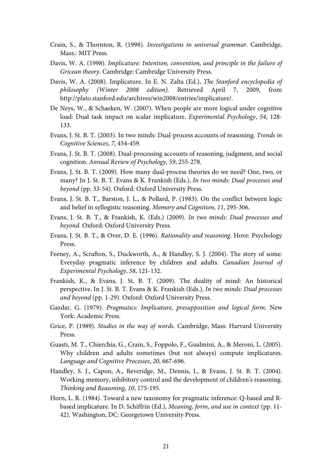- Crain, S., & Thornton, R. (1998). *Investigations in universal grammar*. Cambridge, Mass.: MIT Press.
- Davis, W. A. (1998). *Implicature: Intention, convention, and principle in the failure of Gricean theory*. Cambridge: Cambridge University Press.
- Davis, W. A. (2008). Implicature. In E. N. Zalta (Ed.), *The Stanford encyclopedia of philosophy (Winter 2008 edition)*. Retrieved April 7, 2009, from http://plato.stanford.edu/archives/win2008/entries/implicature/.
- De Neys, W., & Schaeken, W. (2007). When people are more logical under cognitive load: Dual task impact on scalar implicature. *Experimental Psychology*, *54*, 128- 133.
- Evans, J. St. B. T. (2003). In two minds: Dual-process accounts of reasoning. *Trends in Cognitive Sciences*, *7*, 454-459.
- Evans, J. St. B. T. (2008). Dual-processing accounts of reasoning, judgment, and social cognition. *Annual Review of Psychology*, *59*, 255-278.
- Evans, J. St. B. T. (2009). How many dual-process theories do we need? One, two, or many? In J. St. B. T. Evans & K. Frankish (Eds.), *In two minds: Dual processes and beyond* (pp. 33-54). Oxford: Oxford University Press.
- Evans, J. St. B. T., Barston, J. L., & Pollard, P. (1983). On the conflict between logic and belief in syllogistic reasoning. *Memory and Cognition*, *11*, 295-306.
- Evans, J. St. B. T., & Frankish, K. (Eds.) (2009). *In two minds: Dual processes and beyond*. Oxford: Oxford University Press.
- Evans, J. St. B. T., & Over, D. E. (1996). *Rationality and reasoning*. Hove: Psychology Press.
- Feeney, A., Scrafton, S., Duckworth, A., & Handley, S. J. (2004). The story of some: Everyday pragmatic inference by children and adults. *Canadian Journal of Experimental Psychology*, *58*, 121-132.
- Frankish, K., & Evans, J. St. B. T. (2009). The duality of mind: An historical perspective. In J. St. B. T. Evans & K. Frankish (Eds.), *In two minds: Dual processes and beyond* (pp. 1-29). Oxford: Oxford University Press.
- Gazdar, G. (1979). *Pragmatics: Implicature, presupposition and logical form*. New York: Academic Press.
- Grice, P. (1989). *Studies in the way of words*. Cambridge, Mass: Harvard University Press.
- Guasti, M. T., Chierchia, G., Crain, S., Foppolo, F., Gualmini, A., & Meroni, L. (2005). Why children and adults sometimes (but not always) compute implicatures. *Language and Cognitive Processes*, *20*, 667-696.
- Handley, S. J., Capon, A., Beveridge, M., Dennis, I., & Evans, J. St. B. T. (2004). Working memory, inhibitory control and the development of children's reasoning. *Thinking and Reasoning*, *10*, 175-195.
- Horn, L. R. (1984). Toward a new taxonomy for pragmatic inference: Q-based and Rbased implicature. In D. Schiffrin (Ed.), *Meaning, form, and use in context* (pp. 11- 42). Washington, DC: Georgetown University Press.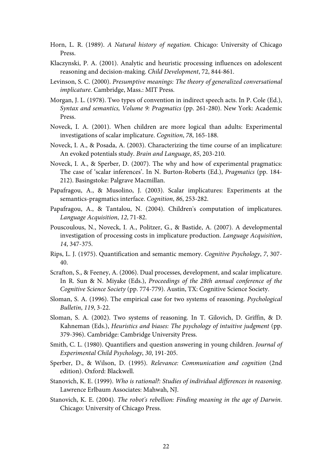- Horn, L. R. (1989). *A Natural history of negation*. Chicago: University of Chicago Press.
- Klaczynski, P. A. (2001). Analytic and heuristic processing influences on adolescent reasoning and decision-making. *Child Development*, 72, 844-861.
- Levinson, S. C. (2000). *Presumptive meanings: The theory of generalized conversational implicature*. Cambridge, Mass.: MIT Press.
- Morgan, J. L. (1978). Two types of convention in indirect speech acts. In P. Cole (Ed.), *Syntax and semantics, Volume 9: Pragmatics* (pp. 261-280). New York: Academic Press.
- Noveck, I. A. (2001). When children are more logical than adults: Experimental investigations of scalar implicature. *Cognition*, *78*, 165-188.
- Noveck, I. A., & Posada, A. (2003). Characterizing the time course of an implicature: An evoked potentials study. *Brain and Language*, *85*, 203-210.
- Noveck, I. A., & Sperber, D. (2007). The why and how of experimental pragmatics: The case of 'scalar inferences'. In N. Burton-Roberts (Ed.), *Pragmatics* (pp. 184- 212). Basingstoke: Palgrave Macmillan.
- Papafragou, A., & Musolino, J. (2003). Scalar implicatures: Experiments at the semantics-pragmatics interface. *Cognition*, *86*, 253-282.
- Papafragou, A., & Tantalou, N. (2004). Children's computation of implicatures. *Language Acquisition*, *12*, 71-82.
- Pouscoulous, N., Noveck, I. A., Politzer, G., & Bastide, A. (2007). A developmental investigation of processing costs in implicature production. *Language Acquisition*, *14*, 347-375.
- Rips, L. J. (1975). Quantification and semantic memory. *Cognitive Psychology*, *7*, 307- 40.
- Scrafton, S., & Feeney, A. (2006). Dual processes, development, and scalar implicature. In R. Sun & N. Miyake (Eds.), *Proceedings of the 28th annual conference of the Cognitive Science Society* (pp. 774-779). Austin, TX: Cognitive Science Society.
- Sloman, S. A. (1996). The empirical case for two systems of reasoning. *Psychological Bulletin*, *119*, 3-22.
- Sloman, S. A. (2002). Two systems of reasoning. In T. Gilovich, D. Griffin, & D. Kahneman (Eds.), *Heuristics and biases: The psychology of intuitive judgment* (pp. 379-396). Cambridge: Cambridge University Press.
- Smith, C. L. (1980). Quantifiers and question answering in young children. *Journal of Experimental Child Psychology*, *30*, 191-205.
- Sperber, D., & Wilson, D. (1995). *Relevance: Communication and cognition* (2nd edition). Oxford: Blackwell.
- Stanovich, K. E. (1999). *Who is rational?: Studies of individual differences in reasoning*. Lawrence Erlbaum Associates: Mahwah, NJ.
- Stanovich, K. E. (2004). *The robot's rebellion: Finding meaning in the age of Darwin*. Chicago: University of Chicago Press.